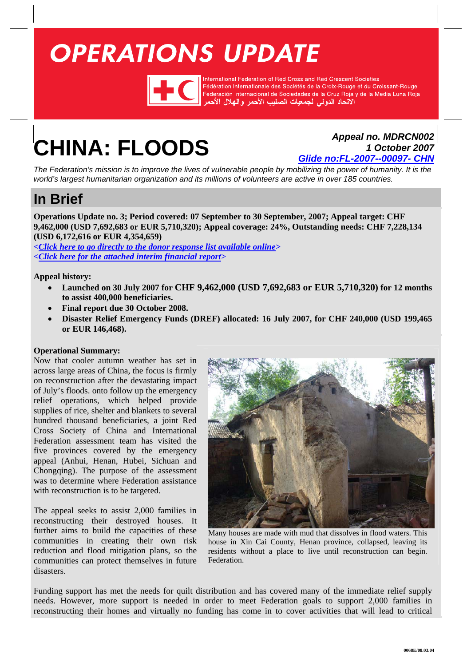# <span id="page-0-0"></span>**OPERATIONS UPDATE**



International Federation of Red Cross and Red Crescent Societies Fédération internationale des Sociétés de la Croix-Rouge et du Croissant-Rouge Federación Internacional de Sociedades de la Cruz Roja y de la Media Luna Roja الأتحاد الدولى لجمعيات الصليب الأحمر والهلال الأحمر

# **CHINA: FLOODS** *Appeal no. MDRCN002*

*1 October 2007 Glide no:FL-2007--00097- CHN*

*The Federation's mission is to improve the lives of vulnerable people by mobilizing the power of humanity. It is the world's largest humanitarian organization and its millions of volunteers are active in over 185 countries.* 

# **In Brief**

**Operations Update no. 3; Period covered: 07 September to 30 September, 2007; Appeal target: CHF 9,462,000 (USD 7,692,683 or EUR 5,710,320); Appeal coverage: 24%, Outstanding needs: CHF 7,228,134 (USD 6,172,616 or EUR 4,354,659)** 

*[<Click here to go directly to the donor response list available online>](http://www.ifrc.org/docs/appeals/Active/MDRCN002.pdf) [<Click here for the attached interim financial report>](#page-7-0)* 

**Appeal history:** 

- **Launched on 30 July 2007 for CHF 9,462,000 (USD 7,692,683 or EUR 5,710,320) for 12 months to assist 400,000 beneficiaries.**
- **Final report due 30 October 2008.**
- **Disaster Relief Emergency Funds (DREF) allocated: 16 July 2007, for CHF 240,000 (USD 199,465 or EUR 146,468).**

# **Operational Summary:**

Now that cooler autumn weather has set in across large areas of China, the focus is firmly on reconstruction after the devastating impact of July's floods. onto follow up the emergency relief operations, which helped provide supplies of rice, shelter and blankets to several hundred thousand beneficiaries, a joint Red Cross Society of China and International Federation assessment team has visited the five provinces covered by the emergency appeal (Anhui, Henan, Hubei, Sichuan and Chongqing). The purpose of the assessment was to determine where Federation assistance with reconstruction is to be targeted.

The appeal seeks to assist 2,000 families in reconstructing their destroyed houses. It further aims to build the capacities of these communities in creating their own risk reduction and flood mitigation plans, so the communities can protect themselves in future disasters.



Many houses are made with mud that dissolves in flood waters. This house in Xin Cai County, Henan province, collapsed, leaving its residents without a place to live until reconstruction can begin. Federation.

Funding support has met the needs for quilt distribution and has covered many of the immediate relief supply needs. However, more support is needed in order to meet Federation goals to support 2,000 families in reconstructing their homes and virtually no funding has come in to cover activities that will lead to critical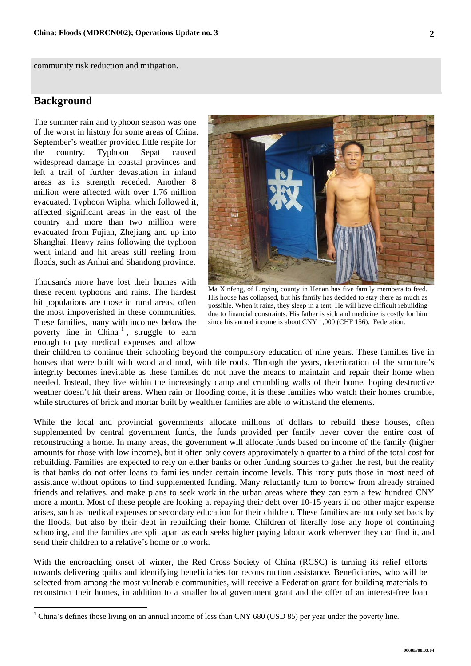community risk reduction and mitigation.

# **Background**

The summer rain and typhoon season was one of the worst in history for some areas of China. September's weather provided little respite for the country. Typhoon Sepat caused widespread damage in coastal provinces and left a trail of further devastation in inland areas as its strength receded. Another 8 million were affected with over 1.76 million evacuated. Typhoon Wipha, which followed it, affected significant areas in the east of the country and more than two million were evacuated from Fujian, Zhejiang and up into Shanghai. Heavy rains following the typhoon went inland and hit areas still reeling from floods, such as Anhui and Shandong province.

Thousands more have lost their homes with these recent typhoons and rains. The hardest hit populations are those in rural areas, often the most impoverished in these communities. These families, many with incomes below the poverty line in China<sup>[1](#page-1-0)</sup>, struggle to earn enough to pay medical expenses and allow



Ma Xinfeng, of Linying county in Henan has five family members to feed. His house has collapsed, but his family has decided to stay there as much as possible. When it rains, they sleep in a tent. He will have difficult rebuilding due to financial constraints. His father is sick and medicine is costly for him since his annual income is about CNY 1,000 (CHF 156). Federation.

their children to continue their schooling beyond the compulsory education of nine years. These families live in houses that were built with wood and mud, with tile roofs. Through the years, deterioration of the structure's integrity becomes inevitable as these families do not have the means to maintain and repair their home when needed. Instead, they live within the increasingly damp and crumbling walls of their home, hoping destructive weather doesn't hit their areas. When rain or flooding come, it is these families who watch their homes crumble, while structures of brick and mortar built by wealthier families are able to withstand the elements.

While the local and provincial governments allocate millions of dollars to rebuild these houses, often supplemented by central government funds, the funds provided per family never cover the entire cost of reconstructing a home. In many areas, the government will allocate funds based on income of the family (higher amounts for those with low income), but it often only covers approximately a quarter to a third of the total cost for rebuilding. Families are expected to rely on either banks or other funding sources to gather the rest, but the reality is that banks do not offer loans to families under certain income levels. This irony puts those in most need of assistance without options to find supplemented funding. Many reluctantly turn to borrow from already strained friends and relatives, and make plans to seek work in the urban areas where they can earn a few hundred CNY more a month. Most of these people are looking at repaying their debt over 10-15 years if no other major expense arises, such as medical expenses or secondary education for their children. These families are not only set back by the floods, but also by their debt in rebuilding their home. Children of literally lose any hope of continuing schooling, and the families are split apart as each seeks higher paying labour work wherever they can find it, and send their children to a relative's home or to work.

With the encroaching onset of winter, the Red Cross Society of China (RCSC) is turning its relief efforts towards delivering quilts and identifying beneficiaries for reconstruction assistance. Beneficiaries, who will be selected from among the most vulnerable communities, will receive a Federation grant for building materials to reconstruct their homes, in addition to a smaller local government grant and the offer of an interest-free loan

<span id="page-1-0"></span><sup>&</sup>lt;sup>1</sup> China's defines those living on an annual income of less than CNY 680 (USD 85) per year under the poverty line.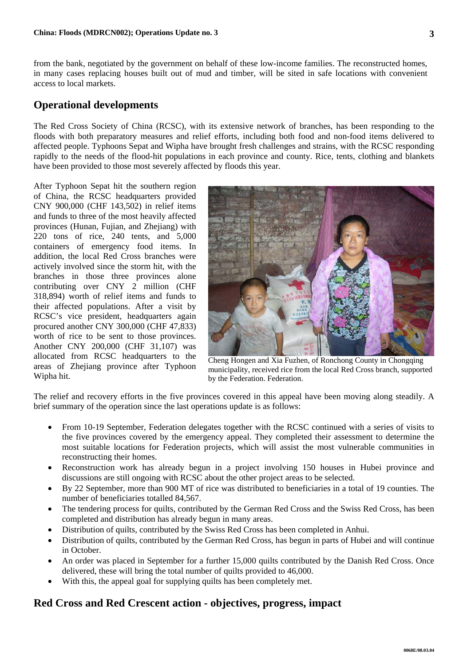from the bank, negotiated by the government on behalf of these low-income families. The reconstructed homes, in many cases replacing houses built out of mud and timber, will be sited in safe locations with convenient access to local markets.

# **Operational developments**

The Red Cross Society of China (RCSC), with its extensive network of branches, has been responding to the floods with both preparatory measures and relief efforts, including both food and non-food items delivered to affected people. Typhoons Sepat and Wipha have brought fresh challenges and strains, with the RCSC responding rapidly to the needs of the flood-hit populations in each province and county. Rice, tents, clothing and blankets have been provided to those most severely affected by floods this year.

After Typhoon Sepat hit the southern region of China, the RCSC headquarters provided CNY 900,000 (CHF 143,502) in relief items and funds to three of the most heavily affected provinces (Hunan, Fujian, and Zhejiang) with 220 tons of rice, 240 tents, and 5,000 containers of emergency food items. In addition, the local Red Cross branches were actively involved since the storm hit, with the branches in those three provinces alone contributing over CNY 2 million (CHF 318,894) worth of relief items and funds to their affected populations. After a visit by RCSC's vice president, headquarters again procured another CNY 300,000 (CHF 47,833) worth of rice to be sent to those provinces. Another CNY 200,000 (CHF 31,107) was allocated from RCSC headquarters to the areas of Zhejiang province after Typhoon Wipha hit.



Cheng Hongen and Xia Fuzhen, of Ronchong County in Chongqing municipality, received rice from the local Red Cross branch, supported by the Federation. Federation.

The relief and recovery efforts in the five provinces covered in this appeal have been moving along steadily. A brief summary of the operation since the last operations update is as follows:

- From 10-19 September, Federation delegates together with the RCSC continued with a series of visits to the five provinces covered by the emergency appeal. They completed their assessment to determine the most suitable locations for Federation projects, which will assist the most vulnerable communities in reconstructing their homes.
- Reconstruction work has already begun in a project involving 150 houses in Hubei province and discussions are still ongoing with RCSC about the other project areas to be selected.
- By 22 September, more than 900 MT of rice was distributed to beneficiaries in a total of 19 counties. The number of beneficiaries totalled 84,567.
- The tendering process for quilts, contributed by the German Red Cross and the Swiss Red Cross, has been completed and distribution has already begun in many areas.
- Distribution of quilts, contributed by the Swiss Red Cross has been completed in Anhui.
- Distribution of quilts, contributed by the German Red Cross, has begun in parts of Hubei and will continue in October.
- An order was placed in September for a further 15,000 quilts contributed by the Danish Red Cross. Once delivered, these will bring the total number of quilts provided to 46,000.
- With this, the appeal goal for supplying quilts has been completely met.

# **Red Cross and Red Crescent action - objectives, progress, impact**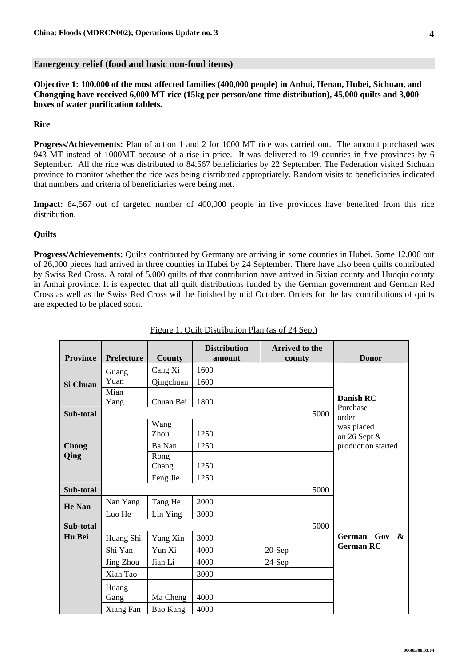**Objective 1: 100,000 of the most affected families (400,000 people) in Anhui, Henan, Hubei, Sichuan, and Chongqing have received 6,000 MT rice (15kg per person/one time distribution), 45,000 quilts and 3,000 boxes of water purification tablets.** 

### **Rice**

**Progress/Achievements:** Plan of action 1 and 2 for 1000 MT rice was carried out. The amount purchased was 943 MT instead of 1000MT because of a rise in price. It was delivered to 19 counties in five provinces by 6 September. All the rice was distributed to 84,567 beneficiaries by 22 September. The Federation visited Sichuan province to monitor whether the rice was being distributed appropriately. Random visits to beneficiaries indicated that numbers and criteria of beneficiaries were being met.

**Impact:** 84,567 out of targeted number of 400,000 people in five provinces have benefited from this rice distribution.

### **Quilts**

**Progress/Achievements:** Quilts contributed by Germany are arriving in some counties in Hubei. Some 12,000 out of 26,000 pieces had arrived in three counties in Hubei by 24 September. There have also been quilts contributed by Swiss Red Cross. A total of 5,000 quilts of that contribution have arrived in Sixian county and Huoqiu county in Anhui province. It is expected that all quilt distributions funded by the German government and German Red Cross as well as the Swiss Red Cross will be finished by mid October. Orders for the last contributions of quilts are expected to be placed soon.

| <b>Province</b> | <b>Prefecture</b> | County    | <b>Distribution</b><br>amount | <b>Arrived to the</b><br>county | <b>Donor</b>                        |  |  |  |  |
|-----------------|-------------------|-----------|-------------------------------|---------------------------------|-------------------------------------|--|--|--|--|
|                 | Guang             | Cang Xi   | 1600                          |                                 |                                     |  |  |  |  |
| <b>Si Chuan</b> | Yuan              | Qingchuan | 1600                          |                                 |                                     |  |  |  |  |
|                 | Mian              |           |                               |                                 |                                     |  |  |  |  |
|                 | Yang              | Chuan Bei | 1800                          |                                 | <b>Danish RC</b><br>Purchase        |  |  |  |  |
| Sub-total       |                   |           |                               | 5000                            | order                               |  |  |  |  |
|                 |                   | Wang      |                               |                                 | was placed                          |  |  |  |  |
|                 |                   | Zhou      | 1250                          |                                 | on 26 Sept &                        |  |  |  |  |
| Chong           |                   | Ba Nan    | 1250                          |                                 | production started.                 |  |  |  |  |
| Qing            |                   | Rong      |                               |                                 |                                     |  |  |  |  |
|                 |                   | Chang     | 1250                          |                                 |                                     |  |  |  |  |
|                 |                   | Feng Jie  | 1250                          |                                 |                                     |  |  |  |  |
| Sub-total       |                   |           |                               | 5000                            |                                     |  |  |  |  |
| <b>He Nan</b>   | Nan Yang          | Tang He   | 2000                          |                                 |                                     |  |  |  |  |
|                 | Luo He            | Lin Ying  | 3000                          |                                 |                                     |  |  |  |  |
| Sub-total       |                   |           |                               | 5000                            |                                     |  |  |  |  |
| Hu Bei          | Huang Shi         | Yang Xin  | 3000                          |                                 | German Gov<br>$\boldsymbol{\alpha}$ |  |  |  |  |
|                 | Shi Yan           | Yun Xi    | 4000                          | $20-Sep$                        | <b>German RC</b>                    |  |  |  |  |
|                 | Jing Zhou         | Jian Li   | 4000                          | 24-Sep                          |                                     |  |  |  |  |
|                 | Xian Tao          |           | 3000                          |                                 |                                     |  |  |  |  |
|                 | Huang             |           |                               |                                 |                                     |  |  |  |  |
|                 | Gang              | Ma Cheng  | 4000                          |                                 |                                     |  |  |  |  |
|                 | Xiang Fan         | Bao Kang  | 4000                          |                                 |                                     |  |  |  |  |

#### Figure 1: Quilt Distribution Plan (as of 24 Sept)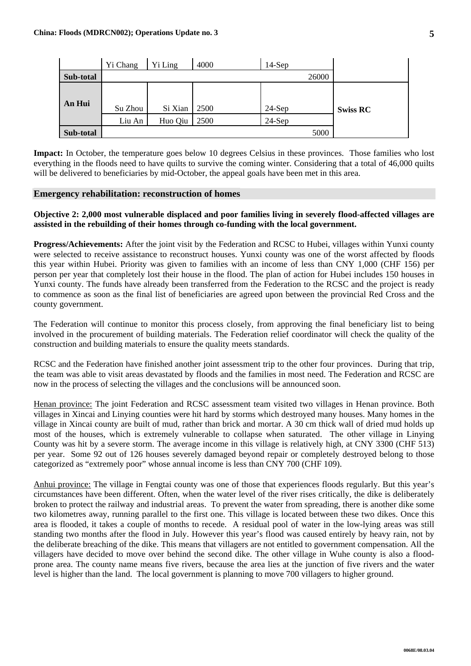|           | Yi Chang | Yi Ling | 4000 | $14-Sep$ |       |                 |
|-----------|----------|---------|------|----------|-------|-----------------|
| Sub-total |          |         |      |          | 26000 |                 |
| An Hui    | Su Zhou  | Si Xian | 2500 | $24-Sep$ |       | <b>Swiss RC</b> |
|           | Liu An   | Huo Qiu | 2500 | $24-Sep$ |       |                 |
| Sub-total |          |         |      |          | 5000  |                 |

**Impact:** In October, the temperature goes below 10 degrees Celsius in these provinces. Those families who lost everything in the floods need to have quilts to survive the coming winter. Considering that a total of 46,000 quilts will be delivered to beneficiaries by mid-October, the appeal goals have been met in this area.

#### **Emergency rehabilitation: reconstruction of homes**

# **Objective 2: 2,000 most vulnerable displaced and poor families living in severely flood-affected villages are assisted in the rebuilding of their homes through co-funding with the local government.**

**Progress/Achievements:** After the joint visit by the Federation and RCSC to Hubei, villages within Yunxi county were selected to receive assistance to reconstruct houses. Yunxi county was one of the worst affected by floods this year within Hubei. Priority was given to families with an income of less than CNY 1,000 (CHF 156) per person per year that completely lost their house in the flood. The plan of action for Hubei includes 150 houses in Yunxi county. The funds have already been transferred from the Federation to the RCSC and the project is ready to commence as soon as the final list of beneficiaries are agreed upon between the provincial Red Cross and the county government.

The Federation will continue to monitor this process closely, from approving the final beneficiary list to being involved in the procurement of building materials. The Federation relief coordinator will check the quality of the construction and building materials to ensure the quality meets standards.

RCSC and the Federation have finished another joint assessment trip to the other four provinces. During that trip, the team was able to visit areas devastated by floods and the families in most need. The Federation and RCSC are now in the process of selecting the villages and the conclusions will be announced soon.

Henan province: The joint Federation and RCSC assessment team visited two villages in Henan province. Both villages in Xincai and Linying counties were hit hard by storms which destroyed many houses. Many homes in the village in Xincai county are built of mud, rather than brick and mortar. A 30 cm thick wall of dried mud holds up most of the houses, which is extremely vulnerable to collapse when saturated. The other village in Linying County was hit by a severe storm. The average income in this village is relatively high, at CNY 3300 (CHF 513) per year. Some 92 out of 126 houses severely damaged beyond repair or completely destroyed belong to those categorized as "extremely poor" whose annual income is less than CNY 700 (CHF 109).

Anhui province: The village in Fengtai county was one of those that experiences floods regularly. But this year's circumstances have been different. Often, when the water level of the river rises critically, the dike is deliberately broken to protect the railway and industrial areas. To prevent the water from spreading, there is another dike some two kilometres away, running parallel to the first one. This village is located between these two dikes. Once this area is flooded, it takes a couple of months to recede. A residual pool of water in the low-lying areas was still standing two months after the flood in July. However this year's flood was caused entirely by heavy rain, not by the deliberate breaching of the dike. This means that villagers are not entitled to government compensation. All the villagers have decided to move over behind the second dike. The other village in Wuhe county is also a floodprone area. The county name means five rivers, because the area lies at the junction of five rivers and the water level is higher than the land. The local government is planning to move 700 villagers to higher ground.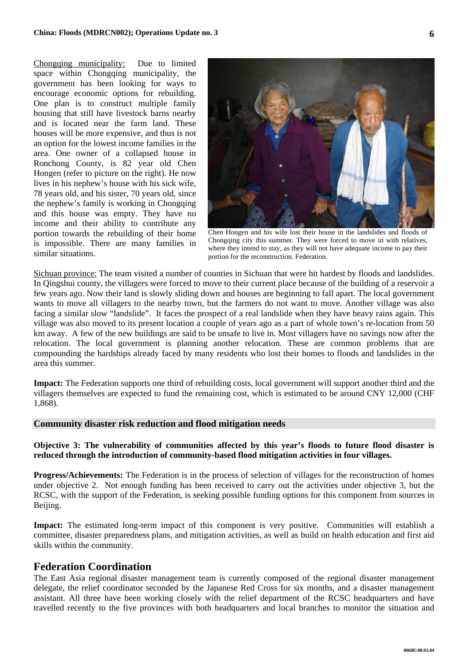Chongqing municipality: Due to limited space within Chongqing municipality, the government has been looking for ways to encourage economic options for rebuilding. One plan is to construct multiple family housing that still have livestock barns nearby and is located near the farm land. These houses will be more expensive, and thus is not an option for the lowest income families in the area. One owner of a collapsed house in Ronchong County, is 82 year old Chen Hongen (refer to picture on the right). He now lives in his nephew's house with his sick wife, 78 years old, and his sister, 70 years old, since the nephew's family is working in Chongqing and this house was empty. They have no income and their ability to contribute any portion towards the rebuilding of their home is impossible. There are many families in similar situations.



Chen Hongen and his wife lost their house in the landslides and floods of Chongqing city this summer. They were forced to move in with relatives, where they intend to stay, as they will not have adequate income to pay their portion for the reconstruction. Federation.

Sichuan province: The team visited a number of counties in Sichuan that were hit hardest by floods and landslides. In Qingshui county, the villagers were forced to move to their current place because of the building of a reservoir a few years ago. Now their land is slowly sliding down and houses are beginning to fall apart. The local government wants to move all villagers to the nearby town, but the farmers do not want to move. Another village was also facing a similar slow "landslide". It faces the prospect of a real landslide when they have heavy rains again. This village was also moved to its present location a couple of years ago as a part of whole town's re-location from 50 km away. A few of the new buildings are said to be unsafe to live in. Most villagers have no savings now after the relocation. The local government is planning another relocation. These are common problems that are compounding the hardships already faced by many residents who lost their homes to floods and landslides in the area this summer.

**Impact:** The Federation supports one third of rebuilding costs, local government will support another third and the villagers themselves are expected to fund the remaining cost, which is estimated to be around CNY 12,000 (CHF 1,868).

#### **Community disaster risk reduction and flood mitigation needs**

### **Objective 3: The vulnerability of communities affected by this year's floods to future flood disaster is reduced through the introduction of community-based flood mitigation activities in four villages.**

**Progress/Achievements:** The Federation is in the process of selection of villages for the reconstruction of homes under objective 2. Not enough funding has been received to carry out the activities under objective 3, but the RCSC, with the support of the Federation, is seeking possible funding options for this component from sources in Beijing.

Impact: The estimated long-term impact of this component is very positive. Communities will establish a committee, disaster preparedness plans, and mitigation activities, as well as build on health education and first aid skills within the community.

### **Federation Coordination**

The East Asia regional disaster management team is currently composed of the regional disaster management delegate, the relief coordinator seconded by the Japanese Red Cross for six months, and a disaster management assistant. All three have been working closely with the relief department of the RCSC headquarters and have travelled recently to the five provinces with both headquarters and local branches to monitor the situation and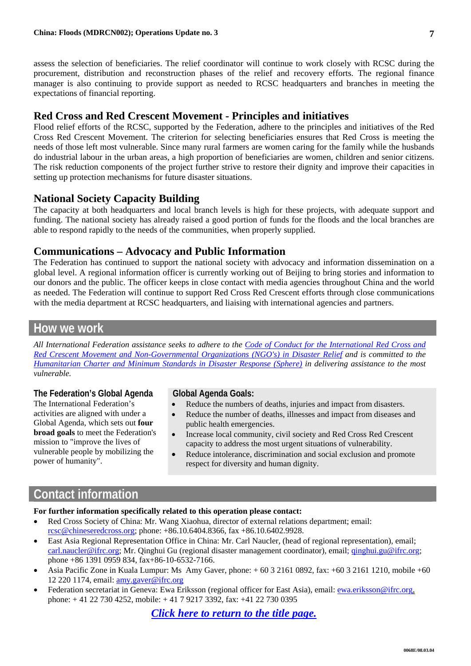assess the selection of beneficiaries. The relief coordinator will continue to work closely with RCSC during the procurement, distribution and reconstruction phases of the relief and recovery efforts. The regional finance manager is also continuing to provide support as needed to RCSC headquarters and branches in meeting the expectations of financial reporting.

# **Red Cross and Red Crescent Movement - Principles and initiatives**

Flood relief efforts of the RCSC, supported by the Federation, adhere to the principles and initiatives of the Red Cross Red Crescent Movement. The criterion for selecting beneficiaries ensures that Red Cross is meeting the needs of those left most vulnerable. Since many rural farmers are women caring for the family while the husbands do industrial labour in the urban areas, a high proportion of beneficiaries are women, children and senior citizens. The risk reduction components of the project further strive to restore their dignity and improve their capacities in setting up protection mechanisms for future disaster situations.

# **National Society Capacity Building**

The capacity at both headquarters and local branch levels is high for these projects, with adequate support and funding. The national society has already raised a good portion of funds for the floods and the local branches are able to respond rapidly to the needs of the communities, when properly supplied.

# **Communications – Advocacy and Public Information**

The Federation has continued to support the national society with advocacy and information dissemination on a global level. A regional information officer is currently working out of Beijing to bring stories and information to our donors and the public. The officer keeps in close contact with media agencies throughout China and the world as needed. The Federation will continue to support Red Cross Red Crescent efforts through close communications with the media department at RCSC headquarters, and liaising with international agencies and partners.

# **How we work**

*All International Federation assistance seeks to adhere to the [Code of Conduct for the International Red Cross and](http://www.ifrc.org/publicat/code.asp)  [Red Crescent Movement and Non-Governmental Organizations \(NGO's\) in Disaster Relief](http://www.ifrc.org/publicat/code.asp) and is committed to the [Humanitarian Charter and Minimum Standards in Disaster Response](http://www.sphereproject.org/) (Sphere) in delivering assistance to the most vulnerable.* 

# **The Federation's Global Agenda**

The International Federation's activities are aligned with under a Global Agenda, which sets out **four broad goals** to meet the Federation's mission to "improve the lives of vulnerable people by mobilizing the power of humanity".

# **Global Agenda Goals:**

- Reduce the numbers of deaths, injuries and impact from disasters.
- Reduce the number of deaths, illnesses and impact from diseases and public health emergencies.
- Increase local community, civil society and Red Cross Red Crescent capacity to address the most urgent situations of vulnerability.
- Reduce intolerance, discrimination and social exclusion and promote respect for diversity and human dignity.

# **Contact information**

# **For further information specifically related to this operation please contact:**

- Red Cross Society of China: Mr. Wang Xiaohua, director of external relations department; email: rcsc@chineseredcross.org; phone: +86.10.6404.8366, fax +86.10.6402.9928.
- East Asia Regional Representation Office in China: Mr. Carl Naucler, (head of regional representation), email; carl.naucler@ifrc.org; Mr. Qinghui Gu (regional disaster management coordinator), email; qinghui.gu@ifrc.org; phone +86 1391 0959 834, fax+86-10-6532-7166.
- Asia Pacific Zone in Kuala Lumpur: Ms Amy Gaver, phone: + 60 3 2161 0892, fax: +60 3 2161 1210, mobile +60 12 220 1174, email: [amy.gaver@ifrc.org](mailto:amy.gaver@ifrc.org)
- Federation secretariat in Geneva: Ewa Eriksson (regional officer for East Asia), email: ewa.eriksson@ifrc.org, phone: + 41 22 730 4252, mobile: + 41 7 9217 3392, fax: +41 22 730 0395

*[Click here to return to the title page.](#page-0-0)*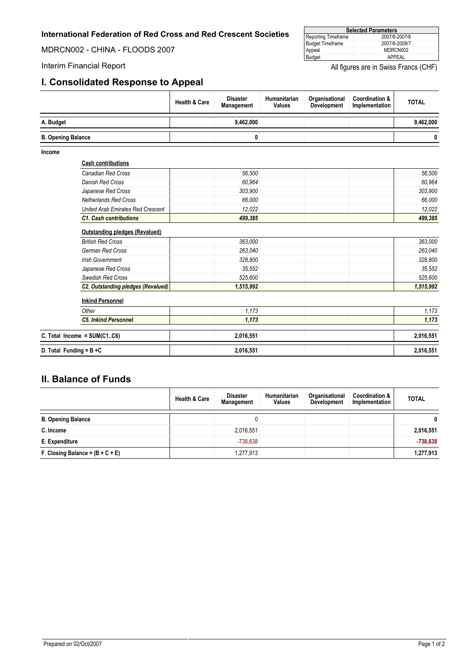# <span id="page-7-0"></span>**International Federation of Red Cross and Red Crescent Societies**

MDRCN002 - CHINA - FLOODS 2007

# **I. Consolidated Response to Appeal**

| <b>Selected Parameters</b> |               |  |  |  |  |
|----------------------------|---------------|--|--|--|--|
| Reporting Timeframe        | 2007/6-2007/8 |  |  |  |  |
| <b>Budget Timeframe</b>    | 2007/6-2008/7 |  |  |  |  |
| Appeal                     | MDRCN002      |  |  |  |  |
| Budget                     | APPEAL        |  |  |  |  |

Interim Financial Report **All figures** are in Swiss Francs (CHF)

|                           |                                           | <b>Health &amp; Care</b> | <b>Disaster</b><br>Management | Humanitarian<br><b>Values</b> | Organisational<br><b>Development</b> | <b>Coordination &amp;</b><br>Implementation | <b>TOTAL</b> |
|---------------------------|-------------------------------------------|--------------------------|-------------------------------|-------------------------------|--------------------------------------|---------------------------------------------|--------------|
| A. Budget                 |                                           |                          | 9,462,000                     |                               |                                      |                                             | 9,462,000    |
| <b>B. Opening Balance</b> |                                           |                          | 0                             |                               |                                      |                                             | 0            |
| Income                    |                                           |                          |                               |                               |                                      |                                             |              |
|                           | <b>Cash contributions</b>                 |                          |                               |                               |                                      |                                             |              |
|                           | Canadian Red Cross                        |                          | 56,500                        |                               |                                      |                                             | 56,500       |
|                           | <b>Danish Red Cross</b>                   |                          | 60.964                        |                               |                                      |                                             | 60.964       |
|                           | Japanese Red Cross                        |                          | 303,900                       |                               |                                      |                                             | 303,900      |
|                           | <b>Netherlands Red Cross</b>              |                          | 66.000                        |                               |                                      |                                             | 66.000       |
|                           | <b>United Arab Emirates Red Crescent</b>  |                          | 12.022                        |                               |                                      |                                             | 12,022       |
|                           | <b>C1. Cash contributions</b>             |                          | 499,385                       |                               |                                      |                                             | 499,385      |
|                           | <b>Outstanding pledges (Revalued)</b>     |                          |                               |                               |                                      |                                             |              |
|                           | <b>British Red Cross</b>                  |                          | 363,000                       |                               |                                      |                                             | 363,000      |
|                           | German Red Cross                          |                          | 263,040                       |                               |                                      |                                             | 263,040      |
|                           | <b>Irish Government</b>                   |                          | 328,800                       |                               |                                      |                                             | 328,800      |
|                           | Japanese Red Cross                        |                          | 35,552                        |                               |                                      |                                             | 35,552       |
|                           | Swedish Red Cross                         |                          | 525,600                       |                               |                                      |                                             | 525,600      |
|                           | <b>C2. Outstanding pledges (Revalued)</b> |                          | 1,515,992                     |                               |                                      |                                             | 1,515,992    |
|                           | <b>Inkind Personnel</b>                   |                          |                               |                               |                                      |                                             |              |
|                           | Other                                     |                          | 1.173                         |                               |                                      |                                             | 1,173        |
|                           | <b>C5. Inkind Personnel</b>               |                          | 1,173                         |                               |                                      |                                             | 1,173        |
|                           | C. Total Income = $SUM(C1C6)$             |                          | 2,016,551                     |                               |                                      |                                             | 2,016,551    |

# **II. Balance of Funds**

|                                    | <b>Health &amp; Care</b> | <b>Disaster</b><br>Management | Humanitarian<br><b>Values</b> | Organisational<br><b>Development</b> | <b>Coordination &amp;</b><br>Implementation | <b>TOTAL</b> |
|------------------------------------|--------------------------|-------------------------------|-------------------------------|--------------------------------------|---------------------------------------------|--------------|
| <b>B. Opening Balance</b>          |                          | U                             |                               |                                      |                                             | 0            |
| C. Income                          |                          | 2,016,551                     |                               |                                      |                                             | 2,016,551    |
| E. Expenditure                     |                          | $-738.638$                    |                               |                                      |                                             | $-738,638$   |
| F. Closing Balance = $(B + C + E)$ |                          | 1.277.913                     |                               |                                      |                                             | 1,277,913    |

**D. Total Funding = B +C 2,016,551 2,016,551**